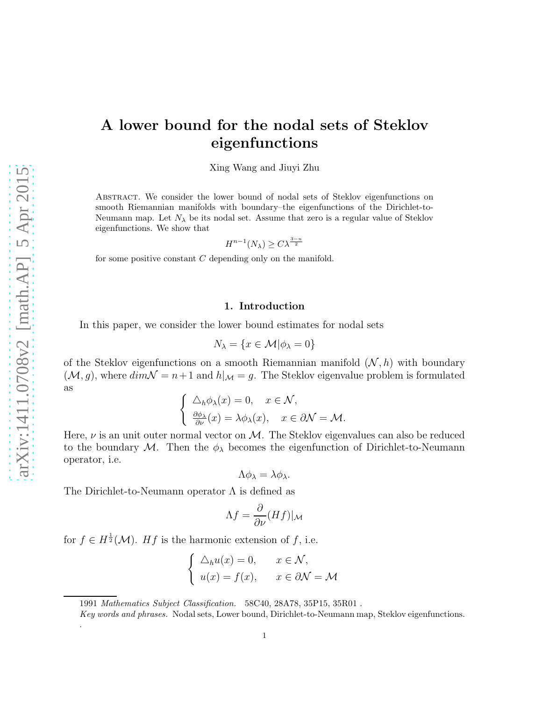.

# A lower bound for the nodal sets of Steklov eigenfunctions

Xing Wang and Jiuyi Zhu

Abstract. We consider the lower bound of nodal sets of Steklov eigenfunctions on smooth Riemannian manifolds with boundary–the eigenfunctions of the Dirichlet-to-Neumann map. Let  $N_{\lambda}$  be its nodal set. Assume that zero is a regular value of Steklov eigenfunctions. We show that

$$
H^{n-1}(N_{\lambda}) \ge C\lambda^{\frac{3-n}{2}}
$$

for some positive constant C depending only on the manifold.

## 1. Introduction

In this paper, we consider the lower bound estimates for nodal sets

$$
N_{\lambda} = \{ x \in \mathcal{M} | \phi_{\lambda} = 0 \}
$$

of the Steklov eigenfunctions on a smooth Riemannian manifold  $(N, h)$  with boundary  $(\mathcal{M}, g)$ , where  $dim \mathcal{N} = n+1$  and  $h|_{\mathcal{M}} = g$ . The Steklov eigenvalue problem is formulated as

$$
\begin{cases} \Delta_h \phi_\lambda(x) = 0, & x \in \mathcal{N}, \\ \frac{\partial \phi_\lambda}{\partial \nu}(x) = \lambda \phi_\lambda(x), & x \in \partial \mathcal{N} = \mathcal{M}. \end{cases}
$$

Here,  $\nu$  is an unit outer normal vector on M. The Steklov eigenvalues can also be reduced to the boundary M. Then the  $\phi_{\lambda}$  becomes the eigenfunction of Dirichlet-to-Neumann operator, i.e.

$$
\Lambda \phi_{\lambda} = \lambda \phi_{\lambda}.
$$

The Dirichlet-to-Neumann operator  $\Lambda$  is defined as

$$
\Lambda f = \frac{\partial}{\partial \nu} (Hf)|_{\mathcal{M}}
$$

for  $f \in H^{\frac{1}{2}}(\mathcal{M})$ . Hf is the harmonic extension of f, i.e.

$$
\begin{cases} \Delta_h u(x) = 0, & x \in \mathcal{N}, \\ u(x) = f(x), & x \in \partial \mathcal{N} = \mathcal{M} \end{cases}
$$

1991 Mathematics Subject Classification. 58C40, 28A78, 35P15, 35R01 .

Key words and phrases. Nodal sets, Lower bound, Dirichlet-to-Neumann map, Steklov eigenfunctions.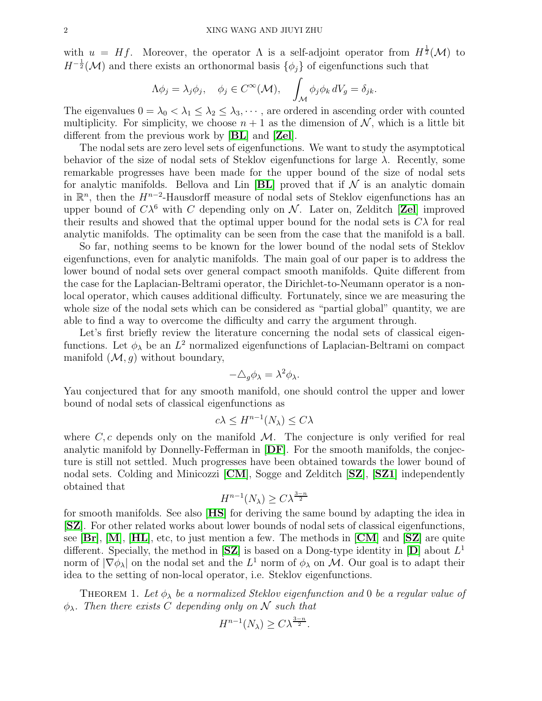with  $u = Hf$ . Moreover, the operator  $\Lambda$  is a self-adjoint operator from  $H^{\frac{1}{2}}(\mathcal{M})$  to  $H^{-\frac{1}{2}}(\mathcal{M})$  and there exists an orthonormal basis  $\{\phi_j\}$  of eigenfunctions such that

$$
\Lambda \phi_j = \lambda_j \phi_j, \quad \phi_j \in C^{\infty}(\mathcal{M}), \quad \int_{\mathcal{M}} \phi_j \phi_k dV_g = \delta_{jk}.
$$

The eigenvalues  $0 = \lambda_0 < \lambda_1 \leq \lambda_2 \leq \lambda_3, \cdots$ , are ordered in ascending order with counted multiplicity. For simplicity, we choose  $n + 1$  as the dimension of N, which is a little bit different from the previous work by [[BL](#page-6-0)] and [[Zel](#page-7-0)].

The nodal sets are zero level sets of eigenfunctions. We want to study the asymptotical behavior of the size of nodal sets of Steklov eigenfunctions for large  $\lambda$ . Recently, some remarkable progresses have been made for the upper bound of the size of nodal sets for analytic manifolds. Bellova and Lin  $|BL|$  $|BL|$  $|BL|$  proved that if  $\mathcal N$  is an analytic domain in  $\mathbb{R}^n$ , then the  $H^{n-2}$ -Hausdorff measure of nodal sets of Steklov eigenfunctions has an upper bound of  $C\lambda^6$  with C depending only on N. Later on, [Zel](#page-7-0)ditch [Zel] improved their results and showed that the optimal upper bound for the nodal sets is  $C\lambda$  for real analytic manifolds. The optimality can be seen from the case that the manifold is a ball.

So far, nothing seems to be known for the lower bound of the nodal sets of Steklov eigenfunctions, even for analytic manifolds. The main goal of our paper is to address the lower bound of nodal sets over general compact smooth manifolds. Quite different from the case for the Laplacian-Beltrami operator, the Dirichlet-to-Neumann operator is a nonlocal operator, which causes additional difficulty. Fortunately, since we are measuring the whole size of the nodal sets which can be considered as "partial global" quantity, we are able to find a way to overcome the difficulty and carry the argument through.

Let's first briefly review the literature concerning the nodal sets of classical eigenfunctions. Let  $\phi_{\lambda}$  be an  $L^2$  normalized eigenfunctions of Laplacian-Beltrami on compact manifold  $(M, g)$  without boundary,

$$
-\triangle_g \phi_\lambda = \lambda^2 \phi_\lambda.
$$

Yau conjectured that for any smooth manifold, one should control the upper and lower bound of nodal sets of classical eigenfunctions as

$$
c\lambda \le H^{n-1}(N_{\lambda}) \le C\lambda
$$

where  $C, c$  depends only on the manifold  $M$ . The conjecture is only verified for real analytic manifold by Donnelly-Fefferman in  $[DF]$  $[DF]$  $[DF]$ . For the smooth manifolds, the conjecture is still not settled. Much progresses have been obtained towards the lower bound of nodal sets. Colding and Minicozzi [[CM](#page-6-1)], Sogge and Zelditch [[SZ](#page-7-2)], [[SZ1](#page-7-3)] independently obtained that

$$
H^{n-1}(N_{\lambda}) \ge C\lambda^{\frac{3-n}{2}}
$$

for smooth manifolds. See also [[HS](#page-7-4)] for deriving the same bound by adapting the idea in [[SZ](#page-7-2)]. For other related works about lower bounds of nodal sets of classical eigenfunctions, see  $[\mathbf{Br}]$  $[\mathbf{Br}]$  $[\mathbf{Br}]$ ,  $[\mathbf{M}]$  $[\mathbf{M}]$  $[\mathbf{M}]$ ,  $[\mathbf{HL}]$  $[\mathbf{HL}]$  $[\mathbf{HL}]$ , etc, to just mention a few. The methods in  $[\mathbf{CM}]$  $[\mathbf{CM}]$  $[\mathbf{CM}]$  and  $[\mathbf{SZ}]$  $[\mathbf{SZ}]$  $[\mathbf{SZ}]$  are quite different. Specially, the method in  $[\mathbf{SZ}]$  $[\mathbf{SZ}]$  $[\mathbf{SZ}]$  is based on a [D](#page-6-3)ong-type identity in  $[\mathbf{D}]$  about  $L^1$ norm of  $|\nabla \phi_{\lambda}|$  on the nodal set and the  $L^1$  norm of  $\phi_{\lambda}$  on M. Our goal is to adapt their idea to the setting of non-local operator, i.e. Steklov eigenfunctions.

<span id="page-1-0"></span>THEOREM 1. Let  $\phi_{\lambda}$  be a normalized Steklov eigenfunction and 0 be a regular value of  $\phi_{\lambda}$ . Then there exists C depending only on N such that

$$
H^{n-1}(N_{\lambda}) \ge C\lambda^{\frac{3-n}{2}}.
$$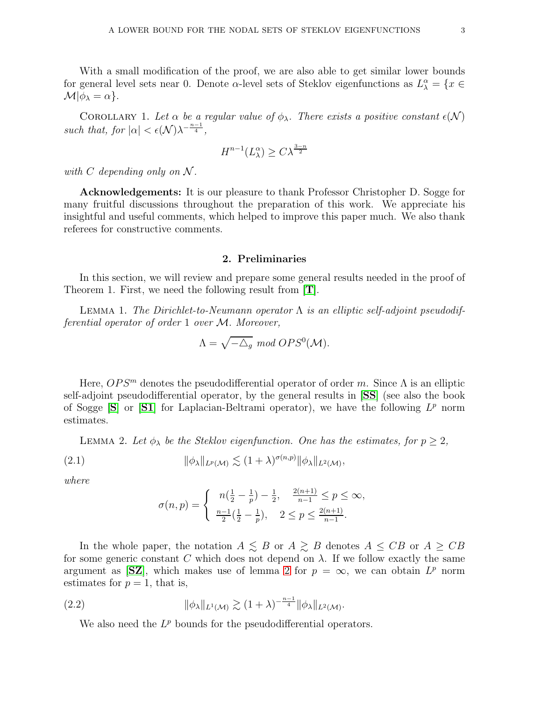With a small modification of the proof, we are also able to get similar lower bounds for general level sets near 0. Denote  $\alpha$ -level sets of Steklov eigenfunctions as  $L^{\alpha}_{\lambda} = \{x \in$  $\mathcal{M}|\phi_{\lambda}=\alpha$  }.

COROLLARY 1. Let  $\alpha$  be a regular value of  $\phi_{\lambda}$ . There exists a positive constant  $\epsilon(\mathcal{N})$ such that, for  $|\alpha| < \epsilon(\mathcal{N})\lambda^{-\frac{n-1}{4}},$ 

$$
H^{n-1}(L^\alpha_\lambda)\ge C\lambda^{\frac{3-n}{2}}
$$

with  $C$  depending only on  $\mathcal N$ .

Acknowledgements: It is our pleasure to thank Professor Christopher D. Sogge for many fruitful discussions throughout the preparation of this work. We appreciate his insightful and useful comments, which helped to improve this paper much. We also thank referees for constructive comments.

#### 2. Preliminaries

In this section, we will review and prepare some general results needed in the proof of Theorem 1. First, we need the following result from [[T](#page-7-7)].

<span id="page-2-1"></span>LEMMA 1. The Dirichlet-to-Neumann operator  $\Lambda$  is an elliptic self-adjoint pseudodifferential operator of order 1 over M. Moreover,

$$
\Lambda = \sqrt{-\triangle_g} \mod{OPS^0(\mathcal{M})}.
$$

Here,  $OPS^m$  denotes the pseudodifferential operator of order m. Since  $\Lambda$  is an elliptic self-adjoint pseudodifferential operator, by the general results in [[SS](#page-7-8)] (see also the book of [S](#page-7-9)ogge  $[S]$  or  $[S1]$  $[S1]$  $[S1]$  for Laplacian-Beltrami operator), we have the following  $L^p$  norm estimates.

LEMMA 2. Let  $\phi_{\lambda}$  be the Steklov eigenfunction. One has the estimates, for  $p \geq 2$ ,

(2.1) 
$$
\|\phi_{\lambda}\|_{L^{p}(\mathcal{M})} \lesssim (1+\lambda)^{\sigma(n,p)} \|\phi_{\lambda}\|_{L^{2}(\mathcal{M})},
$$

where

$$
\sigma(n,p) = \begin{cases} n(\frac{1}{2} - \frac{1}{p}) - \frac{1}{2}, & \frac{2(n+1)}{n-1} \le p \le \infty, \\ \frac{n-1}{2}(\frac{1}{2} - \frac{1}{p}), & 2 \le p \le \frac{2(n+1)}{n-1}. \end{cases}
$$

In the whole paper, the notation  $A \leq B$  or  $A \geq B$  denotes  $A \leq CB$  or  $A \geq CB$ for some generic constant C which does not depend on  $\lambda$ . If we follow exactly the same argument as [[SZ](#page-7-2)], which makes use of lemma [2](#page-2-0) for  $p = \infty$ , we can obtain  $L^p$  norm estimates for  $p = 1$ , that is,

(2.2) 
$$
\|\phi_{\lambda}\|_{L^{1}(\mathcal{M})} \gtrsim (1+\lambda)^{-\frac{n-1}{4}} \|\phi_{\lambda}\|_{L^{2}(\mathcal{M})}.
$$

<span id="page-2-0"></span>We also need the  $L^p$  bounds for the pseudodifferential operators.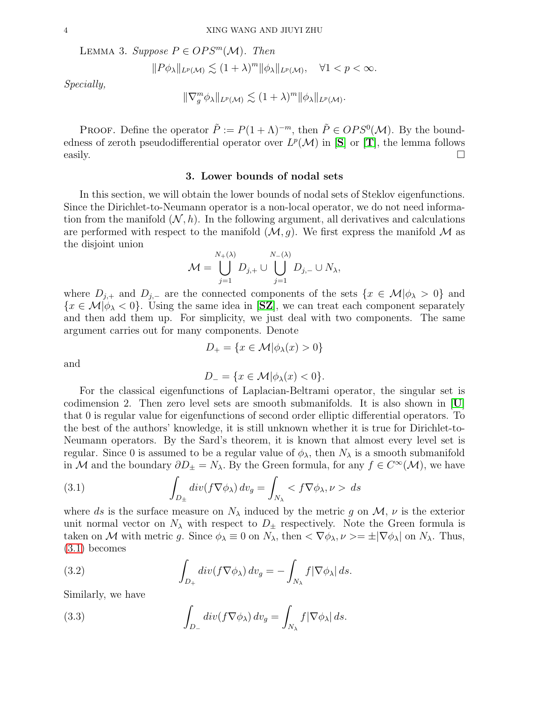<span id="page-3-3"></span>LEMMA 3. Suppose  $P \in OPS^m(\mathcal{M})$ . Then

$$
||P\phi_{\lambda}||_{L^{p}(\mathcal{M})} \lesssim (1+\lambda)^{m} ||\phi_{\lambda}||_{L^{p}(\mathcal{M})}, \quad \forall 1 < p < \infty.
$$

Specially,

$$
\|\nabla_g^m \phi_\lambda\|_{L^p(\mathcal{M})} \lesssim (1+\lambda)^m \|\phi_\lambda\|_{L^p(\mathcal{M})}.
$$

PROOF. Define the operator  $\tilde{P} := P(1 + \Lambda)^{-m}$ , then  $\tilde{P} \in OPS^0(\mathcal{M})$ . By the boundedness of zeroth pseudodifferential operator over  $L^p(\mathcal{M})$  in  $[S]$  $[S]$  $[S]$  or  $[T]$  $[T]$  $[T]$ , the lemma follows easily.  $\Box$ 

## 3. Lower bounds of nodal sets

In this section, we will obtain the lower bounds of nodal sets of Steklov eigenfunctions. Since the Dirichlet-to-Neumann operator is a non-local operator, we do not need information from the manifold  $(N, h)$ . In the following argument, all derivatives and calculations are performed with respect to the manifold  $(M, g)$ . We first express the manifold M as the disjoint union

$$
\mathcal{M} = \bigcup_{j=1}^{N_{+}(\lambda)} D_{j,+} \cup \bigcup_{j=1}^{N_{-}(\lambda)} D_{j,-} \cup N_{\lambda},
$$

where  $D_{j,+}$  and  $D_{j,-}$  are the connected components of the sets  $\{x \in \mathcal{M} | \phi_{\lambda} > 0\}$  and  ${x \in M | \phi_{\lambda} < 0}$ . Using the same idea in [[SZ](#page-7-2)], we can treat each component separately and then add them up. For simplicity, we just deal with two components. The same argument carries out for many components. Denote

and

$$
D_{-} = \{x \in \mathcal{M} | \phi_{\lambda}(x) < 0\}.
$$

 $D_+ = \{x \in \mathcal{M} | \phi_\lambda(x) > 0\}$ 

For the classical eigenfunctions of Laplacian-Beltrami operator, the singular set is codimension 2. Then zero level sets are smooth submanifolds. It is also shown in [[U](#page-7-11)] that 0 is regular value for eigenfunctions of second order elliptic differential operators. To the best of the authors' knowledge, it is still unknown whether it is true for Dirichlet-to-Neumann operators. By the Sard's theorem, it is known that almost every level set is regular. Since 0 is assumed to be a regular value of  $\phi_{\lambda}$ , then  $N_{\lambda}$  is a smooth submanifold in M and the boundary  $\partial D_{\pm} = N_{\lambda}$ . By the Green formula, for any  $f \in C^{\infty}(\mathcal{M})$ , we have

<span id="page-3-0"></span>(3.1) 
$$
\int_{D_{\pm}} div(f \nabla \phi_{\lambda}) dv_g = \int_{N_{\lambda}} \langle f \nabla \phi_{\lambda}, \nu \rangle ds
$$

where ds is the surface measure on  $N_{\lambda}$  induced by the metric g on  $\mathcal{M}, \nu$  is the exterior unit normal vector on  $N_{\lambda}$  with respect to  $D_{\pm}$  respectively. Note the Green formula is taken on M with metric g. Since  $\phi_{\lambda} \equiv 0$  on  $N_{\lambda}$ , then  $\langle \nabla \phi_{\lambda}, \nu \rangle = \pm |\nabla \phi_{\lambda}|$  on  $N_{\lambda}$ . Thus, [\(3.1\)](#page-3-0) becomes

<span id="page-3-1"></span>(3.2) 
$$
\int_{D_+} \operatorname{div}(f \nabla \phi_\lambda) \, dv_g = - \int_{N_\lambda} f |\nabla \phi_\lambda| \, ds.
$$

Similarly, we have

<span id="page-3-2"></span>(3.3) 
$$
\int_{D_{-}} \operatorname{div}(f \nabla \phi_{\lambda}) dv_{g} = \int_{N_{\lambda}} f |\nabla \phi_{\lambda}| ds.
$$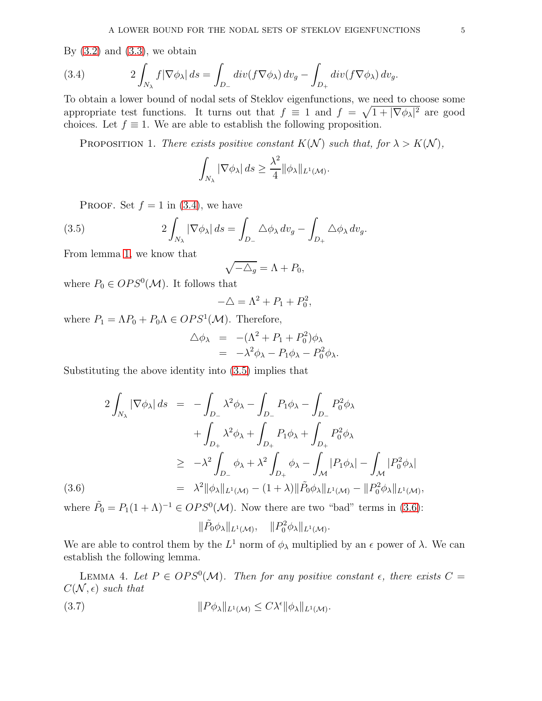By  $(3.2)$  and  $(3.3)$ , we obtain

<span id="page-4-0"></span>(3.4) 
$$
2\int_{N_{\lambda}}f|\nabla\phi_{\lambda}| ds = \int_{D_{-}}div(f\nabla\phi_{\lambda}) dv_{g} - \int_{D_{+}}div(f\nabla\phi_{\lambda}) dv_{g}.
$$

To obtain a lower bound of nodal sets of Steklov eigenfunctions, we need to choose some appropriate test functions. It turns out that  $f \equiv 1$  and  $f = \sqrt{1 + |\nabla \phi_{\lambda}|^2}$  are good choices. Let  $f \equiv 1$ . We are able to establish the following proposition.

<span id="page-4-4"></span>PROPOSITION 1. There exists positive constant  $K(\mathcal{N})$  such that, for  $\lambda > K(\mathcal{N})$ ,

$$
\int_{N_{\lambda}} |\nabla \phi_{\lambda}| ds \geq \frac{\lambda^2}{4} ||\phi_{\lambda}||_{L^1(\mathcal{M})}.
$$

PROOF. Set  $f = 1$  in [\(3.4\)](#page-4-0), we have

(3.5) 
$$
2\int_{N_{\lambda}} |\nabla \phi_{\lambda}| ds = \int_{D_{-}} \Delta \phi_{\lambda} dv_{g} - \int_{D_{+}} \Delta \phi_{\lambda} dv_{g}.
$$

From lemma [1,](#page-2-1) we know that

<span id="page-4-1"></span>
$$
\sqrt{-\triangle_g} = \Lambda + P_0,
$$

where  $P_0 \in OPS^0(\mathcal{M})$ . It follows that

$$
-\Delta = \Lambda^2 + P_1 + P_0^2,
$$

where  $P_1 = \Lambda P_0 + P_0 \Lambda \in OPS^1(\mathcal{M})$ . Therefore,

$$
\begin{array}{rcl}\n\triangle \phi_{\lambda} & = & -(\Lambda^2 + P_1 + P_0^2)\phi_{\lambda} \\
& = & -\lambda^2 \phi_{\lambda} - P_1 \phi_{\lambda} - P_0^2 \phi_{\lambda}.\n\end{array}
$$

Substituting the above identity into [\(3.5\)](#page-4-1) implies that

<span id="page-4-2"></span>
$$
2\int_{N_{\lambda}} |\nabla \phi_{\lambda}| ds = -\int_{D_{-}} \lambda^{2} \phi_{\lambda} - \int_{D_{-}} P_{1} \phi_{\lambda} - \int_{D_{-}} P_{0}^{2} \phi_{\lambda}
$$
  
+ 
$$
\int_{D_{+}} \lambda^{2} \phi_{\lambda} + \int_{D_{+}} P_{1} \phi_{\lambda} + \int_{D_{+}} P_{0}^{2} \phi_{\lambda}
$$
  

$$
\geq -\lambda^{2} \int_{D_{-}} \phi_{\lambda} + \lambda^{2} \int_{D_{+}} \phi_{\lambda} - \int_{\mathcal{M}} |P_{1} \phi_{\lambda}| - \int_{\mathcal{M}} |P_{0}^{2} \phi_{\lambda}|
$$
  

$$
= \lambda^{2} ||\phi_{\lambda}||_{L^{1}(\mathcal{M})} - (1 + \lambda) ||\tilde{P}_{0} \phi_{\lambda}||_{L^{1}(\mathcal{M})} - ||P_{0}^{2} \phi_{\lambda}||_{L^{1}(\mathcal{M})},
$$

where  $\tilde{P}_0 = P_1(1+\Lambda)^{-1} \in OPS^0(\mathcal{M})$ . Now there are two "bad" terms in [\(3.6\)](#page-4-2):

<span id="page-4-3"></span>
$$
\|\tilde{P}_0\phi_\lambda\|_{L^1(\mathcal{M})}, \quad \|P_0^2\phi_\lambda\|_{L^1(\mathcal{M})}.
$$

We are able to control them by the  $L^1$  norm of  $\phi_{\lambda}$  multiplied by an  $\epsilon$  power of  $\lambda$ . We can establish the following lemma.

LEMMA 4. Let  $P \in OPS^0(\mathcal{M})$ . Then for any positive constant  $\epsilon$ , there exists  $C =$  $C(\mathcal{N}, \epsilon)$  such that

(3.7) 
$$
||P\phi_{\lambda}||_{L^{1}(\mathcal{M})} \leq C\lambda^{\epsilon}||\phi_{\lambda}||_{L^{1}(\mathcal{M})}.
$$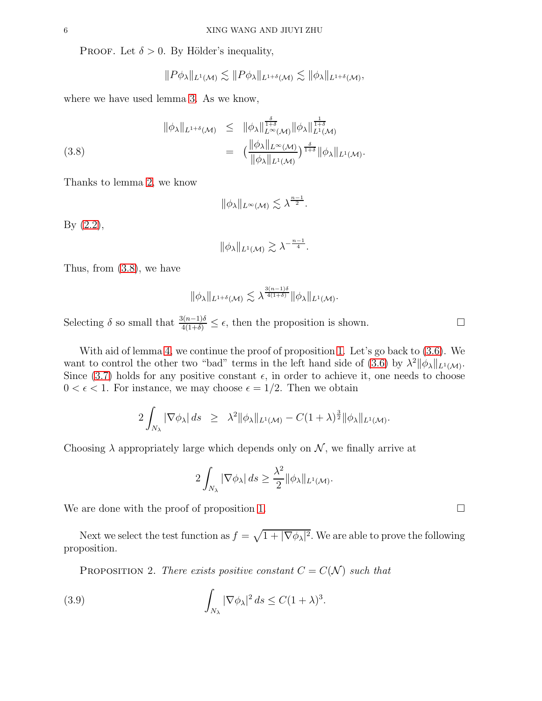PROOF. Let  $\delta > 0$ . By Hölder's inequality,

<span id="page-5-0"></span>
$$
||P\phi_{\lambda}||_{L^{1}(\mathcal{M})}\lesssim ||P\phi_{\lambda}||_{L^{1+\delta}(\mathcal{M})}\lesssim ||\phi_{\lambda}||_{L^{1+\delta}(\mathcal{M})},
$$

where we have used lemma [3.](#page-3-3) As we know,

(3.8) 
$$
\|\phi_{\lambda}\|_{L^{1+\delta}(\mathcal{M})} \leq \|\phi_{\lambda}\|_{L^{\infty}(\mathcal{M})}^{\frac{\delta}{1+\delta}} \|\phi_{\lambda}\|_{L^{1}(\mathcal{M})}^{\frac{1}{1+\delta}} = \left(\frac{\|\phi_{\lambda}\|_{L^{\infty}(\mathcal{M})}}{\|\phi_{\lambda}\|_{L^{1}(\mathcal{M})}}\right)^{\frac{\delta}{1+\delta}} \|\phi_{\lambda}\|_{L^{1}(\mathcal{M})}.
$$

Thanks to lemma [2,](#page-2-0) we know

$$
\|\phi_\lambda\|_{L^\infty(\mathcal{M})}\lesssim \lambda^{\frac{n-1}{2}}.
$$

By  $(2.2)$ ,

$$
\|\phi_\lambda\|_{L^1(\mathcal{M})} \gtrsim \lambda^{-\frac{n-1}{4}}.
$$

Thus, from [\(3.8\)](#page-5-0), we have

$$
\|\phi_{\lambda}\|_{L^{1+\delta}(\mathcal{M})} \lesssim \lambda^{\frac{3(n-1)\delta}{4(1+\delta)}} \|\phi_{\lambda}\|_{L^{1}(\mathcal{M})}
$$

.

Selecting  $\delta$  so small that  $\frac{3(n-1)\delta}{4(1+\delta)} \leq \epsilon$ , then the proposition is shown.

With aid of lemma [4,](#page-4-3) we continue the proof of proposition [1.](#page-4-4) Let's go back to  $(3.6)$ . We want to control the other two "bad" terms in the left hand side of [\(3.6\)](#page-4-2) by  $\lambda^2 ||\phi_{\lambda}||_{L^1(\mathcal{M})}$ . Since [\(3.7\)](#page-4-3) holds for any positive constant  $\epsilon$ , in order to achieve it, one needs to choose  $0 < \epsilon < 1$ . For instance, we may choose  $\epsilon = 1/2$ . Then we obtain

$$
2\int_{N_{\lambda}} |\nabla \phi_{\lambda}| ds \geq \lambda^{2} ||\phi_{\lambda}||_{L^{1}(\mathcal{M})} - C(1+\lambda)^{\frac{3}{2}} ||\phi_{\lambda}||_{L^{1}(\mathcal{M})}.
$$

Choosing  $\lambda$  appropriately large which depends only on  $\mathcal N$ , we finally arrive at

$$
2\int_{N_{\lambda}}|\nabla \phi_{\lambda}| ds \geq \frac{\lambda^2}{2} ||\phi_{\lambda}||_{L^1(\mathcal{M})}.
$$

We are done with the proof of proposition [1.](#page-4-4)  $\Box$ 

Next we select the test function as  $f = \sqrt{1 + |\nabla \phi_{\lambda}|^2}$ . We are able to prove the following proposition.

<span id="page-5-1"></span>PROPOSITION 2. There exists positive constant  $C = C(\mathcal{N})$  such that

(3.9) 
$$
\int_{N_{\lambda}} |\nabla \phi_{\lambda}|^2 ds \leq C(1+\lambda)^3.
$$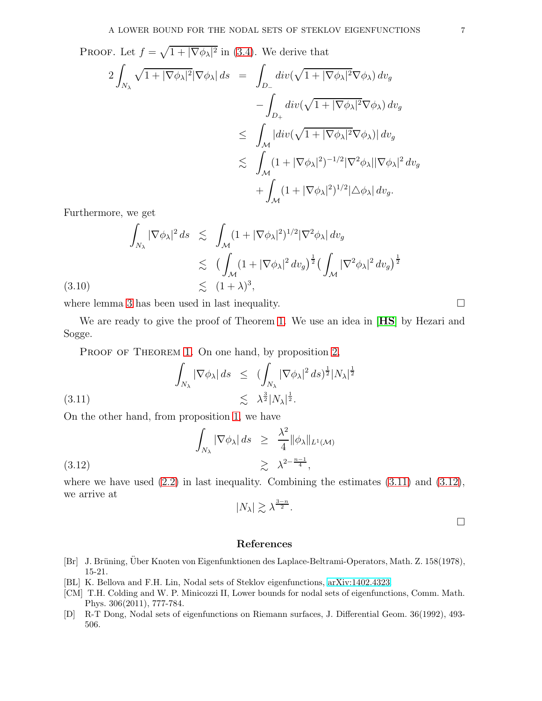**PROOF.** Let  $f = \sqrt{1 + |\nabla \phi_{\lambda}|^2}$  in [\(3.4\)](#page-4-0). We derive that

$$
2\int_{N_{\lambda}}\sqrt{1+|\nabla\phi_{\lambda}|^{2}}|\nabla\phi_{\lambda}| ds = \int_{D_{-}}div(\sqrt{1+|\nabla\phi_{\lambda}|^{2}}\nabla\phi_{\lambda}) dv_{g}
$$
  

$$
-\int_{D_{+}}div(\sqrt{1+|\nabla\phi_{\lambda}|^{2}}\nabla\phi_{\lambda}) dv_{g}
$$
  

$$
\leq \int_{\mathcal{M}}|div(\sqrt{1+|\nabla\phi_{\lambda}|^{2}}\nabla\phi_{\lambda})| dv_{g}
$$
  

$$
\lesssim \int_{\mathcal{M}}(1+|\nabla\phi_{\lambda}|^{2})^{-1/2}|\nabla^{2}\phi_{\lambda}||\nabla\phi_{\lambda}|^{2} dv_{g}
$$
  

$$
+\int_{\mathcal{M}}(1+|\nabla\phi_{\lambda}|^{2})^{1/2}|\triangle\phi_{\lambda}| dv_{g}.
$$

Furthermore, we get

$$
\int_{N_{\lambda}} |\nabla \phi_{\lambda}|^2 ds \leq \int_{\mathcal{M}} (1 + |\nabla \phi_{\lambda}|^2)^{1/2} |\nabla^2 \phi_{\lambda}| dv_g
$$
  

$$
\leq \left( \int_{\mathcal{M}} (1 + |\nabla \phi_{\lambda}|^2 dv_g)^{\frac{1}{2}} \left( \int_{\mathcal{M}} |\nabla^2 \phi_{\lambda}|^2 dv_g \right)^{\frac{1}{2}}
$$
  
(3.10) 
$$
\leq (1 + \lambda)^3,
$$

where lemma [3](#page-3-3) has been used in last inequality.  $\Box$ 

We are ready to give the proof of Theorem [1.](#page-1-0) We use an idea in [**[HS](#page-7-4)**] by Hezari and Sogge.

<span id="page-6-4"></span>PROOF OF THEOREM [1.](#page-1-0) On one hand, by proposition [2,](#page-5-1)

$$
\int_{N_{\lambda}} |\nabla \phi_{\lambda}| ds \leq (\int_{N_{\lambda}} |\nabla \phi_{\lambda}|^2 ds)^{\frac{1}{2}} |N_{\lambda}|^{\frac{1}{2}}
$$
  

$$
\lesssim \lambda^{\frac{3}{2}} |N_{\lambda}|^{\frac{1}{2}}.
$$

On the other hand, from proposition [1,](#page-4-4) we have

$$
\int_{N_{\lambda}} |\nabla \phi_{\lambda}| ds \geq \frac{\lambda^2}{4} ||\phi_{\lambda}||_{L^1(\mathcal{M})}
$$
\n
$$
\geq \lambda^{2 - \frac{n-1}{4}},
$$
\n(3.12)

where we have used  $(2.2)$  in last inequality. Combining the estimates  $(3.11)$  and  $(3.12)$ , we arrive at

<span id="page-6-5"></span>
$$
|N_{\lambda}| \gtrsim \lambda^{\frac{3-n}{2}}.
$$

### References

- <span id="page-6-2"></span>[Br] J. Brüning, Über Knoten von Eigenfunktionen des Laplace-Beltrami-Operators, Math. Z. 158(1978), 15-21.
- <span id="page-6-0"></span>[BL] K. Bellova and F.H. Lin, Nodal sets of Steklov eigenfunctions, [arXiv:1402.4323.](http://arxiv.org/abs/1402.4323)
- <span id="page-6-1"></span>[CM] T.H. Colding and W. P. Minicozzi II, Lower bounds for nodal sets of eigenfunctions, Comm. Math. Phys. 306(2011), 777-784.
- <span id="page-6-3"></span>[D] R-T Dong, Nodal sets of eigenfunctions on Riemann surfaces, J. Differential Geom. 36(1992), 493- 506.